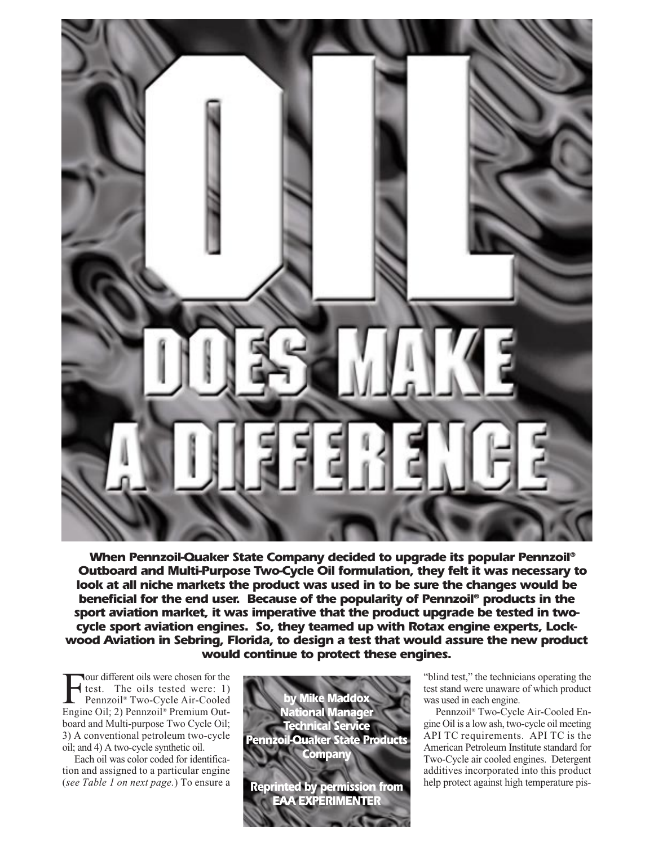

*When Pennzoil-Quaker State Company decided to upgrade its popular Pennzoil® Outboard and Multi-Purpose Two-Cycle Oil formulation, they felt it was necessary to look at all niche markets the product was used in to be sure the changes would be beneficial for the end user. Because of the popularity of Pennzoil® products in the sport aviation market, it was imperative that the product upgrade be tested in twocycle sport aviation engines. So, they teamed up with Rotax engine experts, Lockwood Aviation in Sebring, Florida, to design a test that would assure the new product would continue to protect these engines.*

Four different oils were chosen for the<br>test. The oils tested were: 1)<br>Pennzoil® Two-Cycle Air-Cooled<br>Frome Oil: 2) Pennzoil® Premium Outtest. The oils tested were: 1) Pennzoil® Two-Cycle Air-Cooled Engine Oil; 2) Pennzoil® Premium Outboard and Multi-purpose Two Cycle Oil; 3) A conventional petroleum two-cycle oil; and 4) A two-cycle synthetic oil.

Each oil was color coded for identification and assigned to a particular engine (*see Table 1 on next page.*) To ensure a



"blind test," the technicians operating the test stand were unaware of which product was used in each engine.

Pennzoil® Two-Cycle Air-Cooled Engine Oil is a low ash, two-cycle oil meeting API TC requirements. API TC is the American Petroleum Institute standard for Two-Cycle air cooled engines. Detergent additives incorporated into this product help protect against high temperature pis-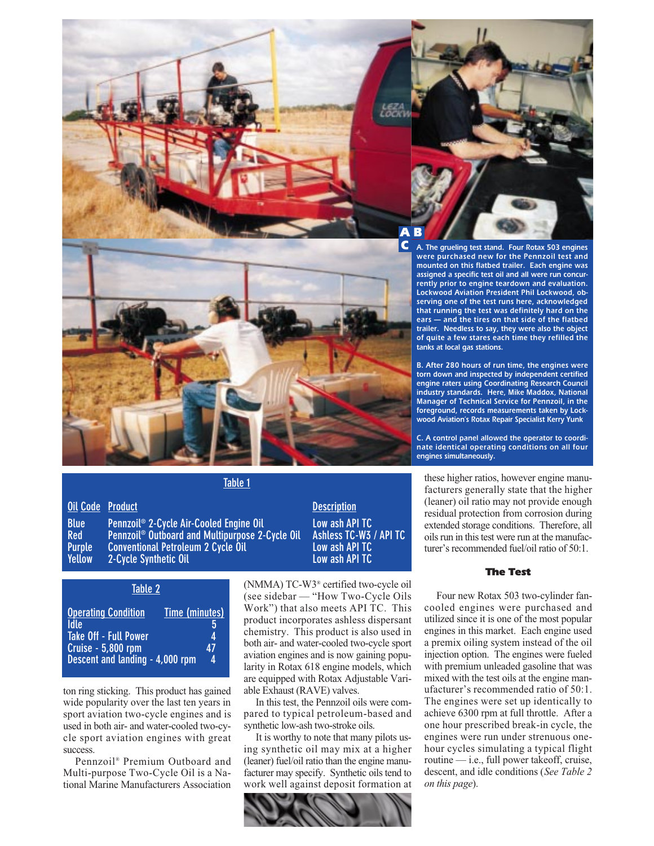

**Table 1**

# **Oil Code Product Description**

**Blue Pennzoil® 2-Cycle Air-Cooled Engine Oil Low ash API TC Red Pennzoil® Outboard and Multipurpose 2-Cycle Oil Ashless TC-W3 / API TC** Purple Conventional Petroleum 2 Cycle Oil **Low ash API TC**<br>1 Low ash API TC Yellow 2-Cycle Synthetic Oil **2-Cycle Synthetic Oil** 

| Table 2                                                                                                                     |                                  |
|-----------------------------------------------------------------------------------------------------------------------------|----------------------------------|
| <b>Operating Condition</b><br>Idle<br><b>Take Off - Full Power</b><br>Cruise - 5,800 rpm<br>Descent and landing - 4,000 rpm | <b>Time (minutes)</b><br>4<br>Δ7 |

ton ring sticking. This product has gained wide popularity over the last ten years in sport aviation two-cycle engines and is used in both air- and water-cooled two-cycle sport aviation engines with great success.

Pennzoil® Premium Outboard and Multi-purpose Two-Cycle Oil is a National Marine Manufacturers Association

(NMMA) TC-W3® certified two-cycle oil (see sidebar — "How Two-Cycle Oils Work") that also meets API TC. This product incorporates ashless dispersant chemistry. This product is also used in both air- and water-cooled two-cycle sport aviation engines and is now gaining popularity in Rotax 618 engine models, which are equipped with Rotax Adjustable Variable Exhaust (RAVE) valves.

In this test, the Pennzoil oils were compared to typical petroleum-based and synthetic low-ash two-stroke oils.

It is worthy to note that many pilots using synthetic oil may mix at a higher (leaner) fuel/oil ratio than the engine manufacturer may specify. Synthetic oils tend to work well against deposit formation at



these higher ratios, however engine manufacturers generally state that the higher (leaner) oil ratio may not provide enough residual protection from corrosion during extended storage conditions. Therefore, all oils run in this test were run at the manufacturer's recommended fuel/oil ratio of 50:1.

### *The Test*

Four new Rotax 503 two-cylinder fancooled engines were purchased and utilized since it is one of the most popular engines in this market. Each engine used a premix oiling system instead of the oil injection option. The engines were fueled with premium unleaded gasoline that was mixed with the test oils at the engine manufacturer's recommended ratio of 50:1. The engines were set up identically to achieve 6300 rpm at full throttle. After a one hour prescribed break-in cycle, the engines were run under strenuous onehour cycles simulating a typical flight routine — i.e., full power takeoff, cruise, descent, and idle conditions (*See Table 2 on this page*).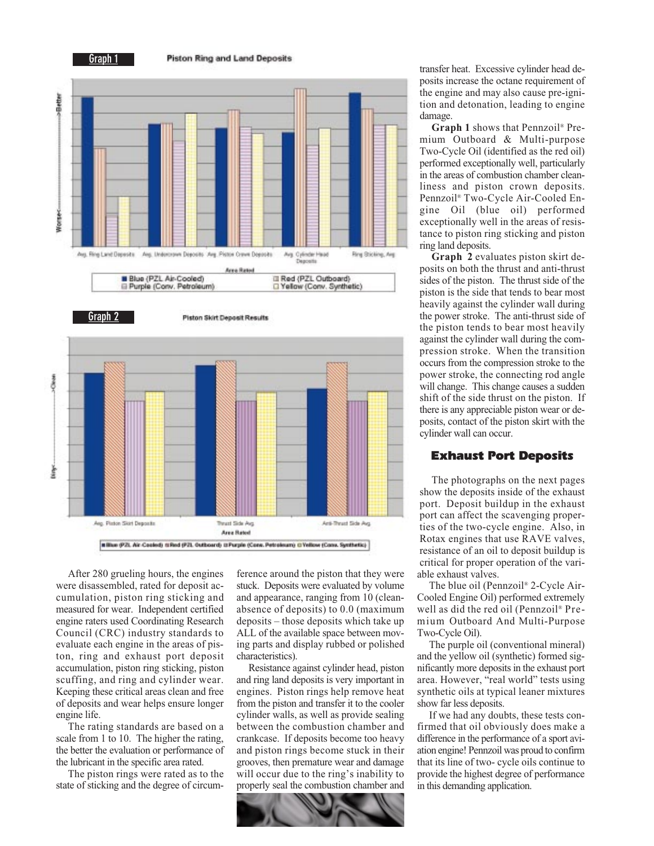**Graph 1**



After 280 grueling hours, the engines were disassembled, rated for deposit accumulation, piston ring sticking and measured for wear. Independent certified engine raters used Coordinating Research Council (CRC) industry standards to evaluate each engine in the areas of piston, ring and exhaust port deposit accumulation, piston ring sticking, piston scuffing, and ring and cylinder wear. Keeping these critical areas clean and free of deposits and wear helps ensure longer engine life.

The rating standards are based on a scale from 1 to 10. The higher the rating, the better the evaluation or performance of the lubricant in the specific area rated.

The piston rings were rated as to the state of sticking and the degree of circum-

ference around the piston that they were stuck. Deposits were evaluated by volume and appearance, ranging from 10 (cleanabsence of deposits) to 0.0 (maximum deposits – those deposits which take up ALL of the available space between moving parts and display rubbed or polished characteristics).

Resistance against cylinder head, piston and ring land deposits is very important in engines. Piston rings help remove heat from the piston and transfer it to the cooler cylinder walls, as well as provide sealing between the combustion chamber and crankcase. If deposits become too heavy and piston rings become stuck in their grooves, then premature wear and damage will occur due to the ring's inability to properly seal the combustion chamber and



transfer heat. Excessive cylinder head deposits increase the octane requirement of the engine and may also cause pre-ignition and detonation, leading to engine damage.

**Graph 1** shows that Pennzoil® Premium Outboard & Multi-purpose Two-Cycle Oil (identified as the red oil) performed exceptionally well, particularly in the areas of combustion chamber cleanliness and piston crown deposits. Pennzoil® Two-Cycle Air-Cooled Engine Oil (blue oil) performed exceptionally well in the areas of resistance to piston ring sticking and piston ring land deposits.

**Graph 2** evaluates piston skirt deposits on both the thrust and anti-thrust sides of the piston. The thrust side of the piston is the side that tends to bear most heavily against the cylinder wall during the power stroke. The anti-thrust side of the piston tends to bear most heavily against the cylinder wall during the compression stroke. When the transition occurs from the compression stroke to the power stroke, the connecting rod angle will change. This change causes a sudden shift of the side thrust on the piston. If there is any appreciable piston wear or deposits, contact of the piston skirt with the cylinder wall can occur.

## *Exhaust Port Deposits*

The photographs on the next pages show the deposits inside of the exhaust port. Deposit buildup in the exhaust port can affect the scavenging properties of the two-cycle engine. Also, in Rotax engines that use RAVE valves, resistance of an oil to deposit buildup is critical for proper operation of the variable exhaust valves.

The blue oil (Pennzoil® 2-Cycle Air-Cooled Engine Oil) performed extremely well as did the red oil (Pennzoil® Premium Outboard And Multi-Purpose Two-Cycle Oil).

The purple oil (conventional mineral) and the yellow oil (synthetic) formed significantly more deposits in the exhaust port area. However, "real world" tests using synthetic oils at typical leaner mixtures show far less deposits.

If we had any doubts, these tests confirmed that oil obviously does make a difference in the performance of a sport aviation engine! Pennzoil was proud to confirm that its line of two- cycle oils continue to provide the highest degree of performance in this demanding application.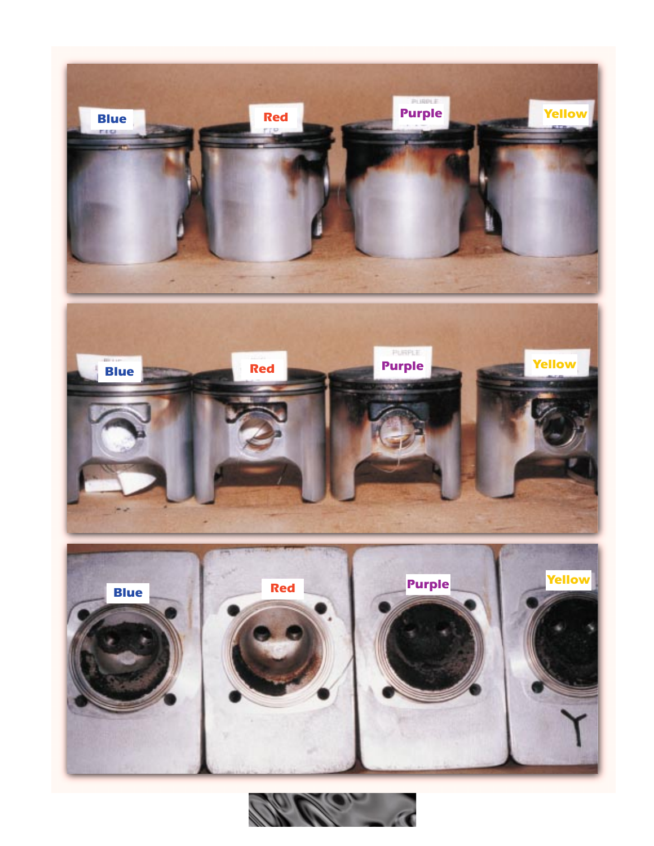





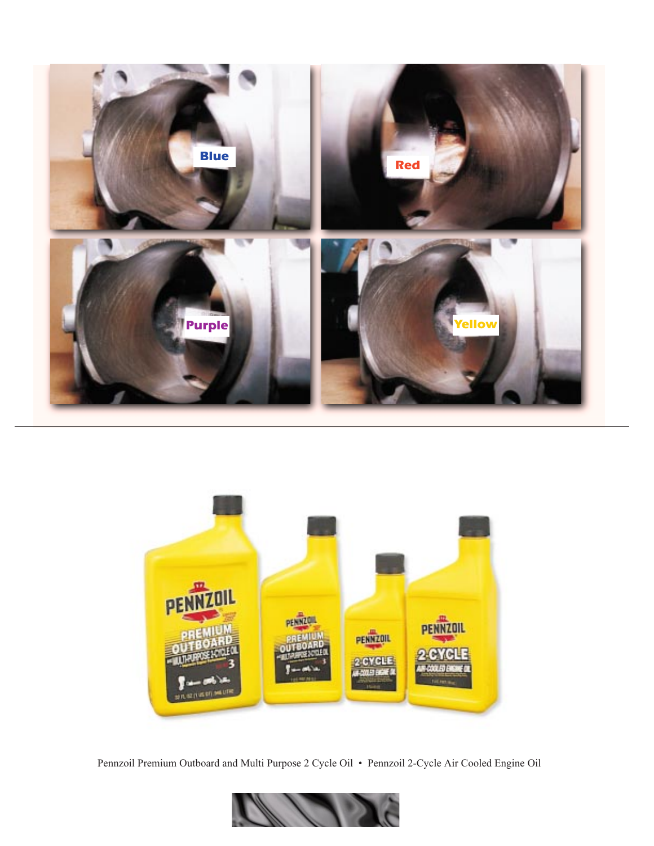



Pennzoil Premium Outboard and Multi Purpose 2 Cycle Oil • Pennzoil 2-Cycle Air Cooled Engine Oil